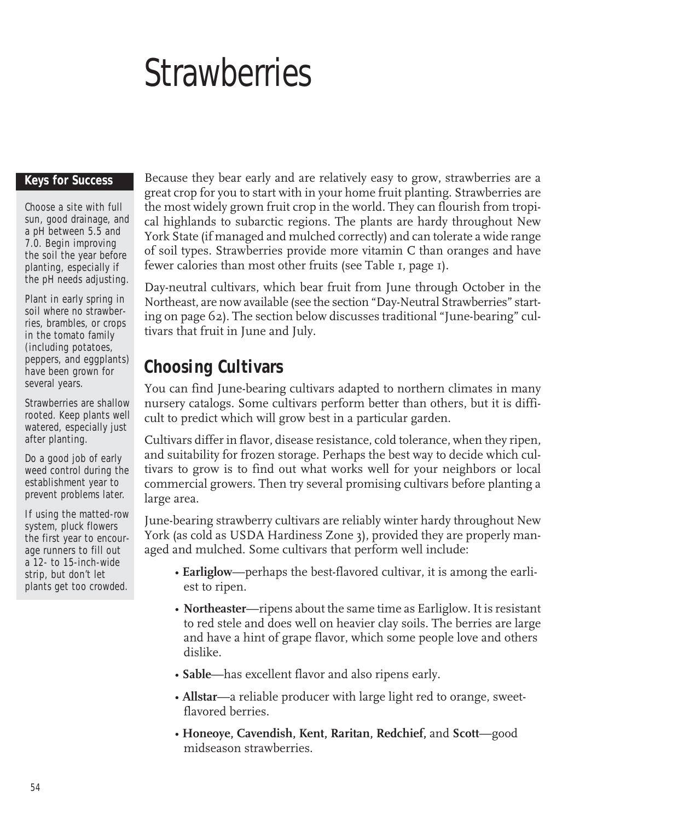# **Strawberries**

#### **Keys for Success**

Choose a site with full sun, good drainage, and a pH between 5.5 and 7.0. Begin improving the soil the year before planting, especially if the pH needs adjusting.

Plant in early spring in soil where no strawberries, brambles, or crops in the tomato family (including potatoes, peppers, and eggplants) have been grown for several years.

Strawberries are shallow rooted. Keep plants well watered, especially just after planting.

Do a good job of early weed control during the establishment year to prevent problems later.

If using the matted-row system, pluck flowers the first year to encourage runners to fill out a 12- to 15-inch-wide strip, but don't let plants get too crowded.

Because they bear early and are relatively easy to grow, strawberries are a great crop for you to start with in your home fruit planting. Strawberries are the most widely grown fruit crop in the world. They can flourish from tropical highlands to subarctic regions. The plants are hardy throughout New York State (if managed and mulched correctly) and can tolerate a wide range of soil types. Strawberries provide more vitamin C than oranges and have fewer calories than most other fruits (see Table 1, page 1).

Day-neutral cultivars, which bear fruit from June through October in the Northeast, are now available (see the section "Day-Neutral Strawberries" starting on page 62). The section below discusses traditional "June-bearing" cultivars that fruit in June and July.

# **Choosing Cultivars**

You can find June-bearing cultivars adapted to northern climates in many nursery catalogs. Some cultivars perform better than others, but it is difficult to predict which will grow best in a particular garden.

Cultivars differ in flavor, disease resistance, cold tolerance, when they ripen, and suitability for frozen storage. Perhaps the best way to decide which cultivars to grow is to find out what works well for your neighbors or local commercial growers. Then try several promising cultivars before planting a large area.

June-bearing strawberry cultivars are reliably winter hardy throughout New York (as cold as USDA Hardiness Zone 3), provided they are properly managed and mulched. Some cultivars that perform well include:

- **Earliglow**—perhaps the best-flavored cultivar, it is among the earliest to ripen.
- **Northeaster**—ripens about the same time as Earliglow. It is resistant to red stele and does well on heavier clay soils. The berries are large and have a hint of grape flavor, which some people love and others dislike.
- **Sable**—has excellent flavor and also ripens early.
- **Allstar**—a reliable producer with large light red to orange, sweetflavored berries.
- **Honeoye, Cavendish, Kent, Raritan, Redchief,** and **Scott**—good midseason strawberries.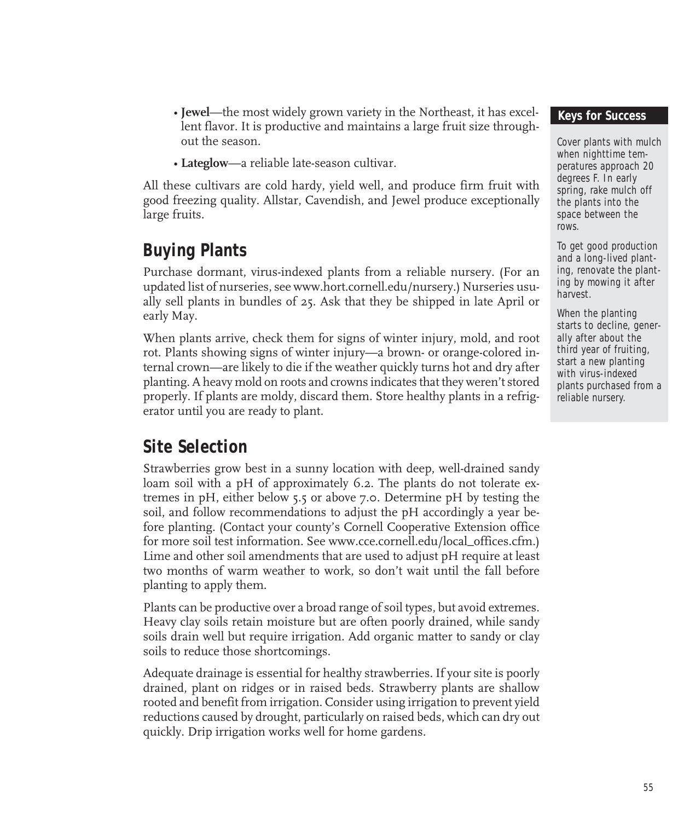- **Jewel**—the most widely grown variety in the Northeast, it has excel-<br>Keys for Success lent flavor. It is productive and maintains a large fruit size throughout the season.
- **Lateglow**—a reliable late-season cultivar.

All these cultivars are cold hardy, yield well, and produce firm fruit with good freezing quality. Allstar, Cavendish, and Jewel produce exceptionally large fruits.

# **Buying Plants**

Purchase dormant, virus-indexed plants from a reliable nursery. (For an updated list of nurseries, see www.hort.cornell.edu/nursery.) Nurseries usually sell plants in bundles of 25. Ask that they be shipped in late April or early May.

When plants arrive, check them for signs of winter injury, mold, and root rot. Plants showing signs of winter injury—a brown- or orange-colored internal crown—are likely to die if the weather quickly turns hot and dry after planting. A heavy mold on roots and crowns indicates that they weren't stored properly. If plants are moldy, discard them. Store healthy plants in a refrigerator until you are ready to plant.

# **Site Selection**

Strawberries grow best in a sunny location with deep, well-drained sandy loam soil with a pH of approximately 6.2. The plants do not tolerate extremes in pH, either below 5.5 or above 7.0. Determine pH by testing the soil, and follow recommendations to adjust the pH accordingly a year before planting. (Contact your county's Cornell Cooperative Extension office for more soil test information. See www.cce.cornell.edu/local\_offices.cfm.) Lime and other soil amendments that are used to adjust pH require at least two months of warm weather to work, so don't wait until the fall before planting to apply them.

Plants can be productive over a broad range of soil types, but avoid extremes. Heavy clay soils retain moisture but are often poorly drained, while sandy soils drain well but require irrigation. Add organic matter to sandy or clay soils to reduce those shortcomings.

Adequate drainage is essential for healthy strawberries. If your site is poorly drained, plant on ridges or in raised beds. Strawberry plants are shallow rooted and benefit from irrigation. Consider using irrigation to prevent yield reductions caused by drought, particularly on raised beds, which can dry out quickly. Drip irrigation works well for home gardens.

Cover plants with mulch when nighttime temperatures approach 20 degrees F. In early spring, rake mulch off the plants into the space between the rows.

To get good production and a long-lived planting, renovate the planting by mowing it after harvest.

When the planting starts to decline, generally after about the third year of fruiting, start a new planting with virus-indexed plants purchased from a reliable nursery.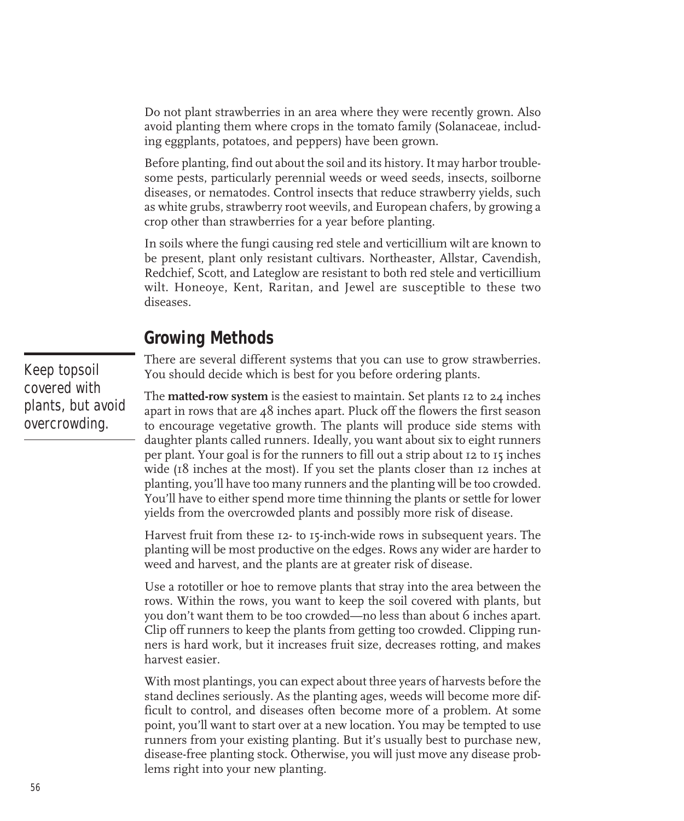Do not plant strawberries in an area where they were recently grown. Also avoid planting them where crops in the tomato family (Solanaceae, including eggplants, potatoes, and peppers) have been grown.

Before planting, find out about the soil and its history. It may harbor troublesome pests, particularly perennial weeds or weed seeds, insects, soilborne diseases, or nematodes. Control insects that reduce strawberry yields, such as white grubs, strawberry root weevils, and European chafers, by growing a crop other than strawberries for a year before planting.

In soils where the fungi causing red stele and verticillium wilt are known to be present, plant only resistant cultivars. Northeaster, Allstar, Cavendish, Redchief, Scott, and Lateglow are resistant to both red stele and verticillium wilt. Honeoye, Kent, Raritan, and Jewel are susceptible to these two diseases.

#### **Growing Methods**

There are several different systems that you can use to grow strawberries. You should decide which is best for you before ordering plants.

The **matted-row system** is the easiest to maintain. Set plants 12 to 24 inches apart in rows that are 48 inches apart. Pluck off the flowers the first season to encourage vegetative growth. The plants will produce side stems with daughter plants called runners. Ideally, you want about six to eight runners per plant. Your goal is for the runners to fill out a strip about 12 to 15 inches wide (18 inches at the most). If you set the plants closer than 12 inches at planting, you'll have too many runners and the planting will be too crowded. You'll have to either spend more time thinning the plants or settle for lower yields from the overcrowded plants and possibly more risk of disease.

Harvest fruit from these 12- to 15-inch-wide rows in subsequent years. The planting will be most productive on the edges. Rows any wider are harder to weed and harvest, and the plants are at greater risk of disease.

Use a rototiller or hoe to remove plants that stray into the area between the rows. Within the rows, you want to keep the soil covered with plants, but you don't want them to be too crowded—no less than about 6 inches apart. Clip off runners to keep the plants from getting too crowded. Clipping runners is hard work, but it increases fruit size, decreases rotting, and makes harvest easier.

With most plantings, you can expect about three years of harvests before the stand declines seriously. As the planting ages, weeds will become more difficult to control, and diseases often become more of a problem. At some point, you'll want to start over at a new location. You may be tempted to use runners from your existing planting. But it's usually best to purchase new, disease-free planting stock. Otherwise, you will just move any disease problems right into your new planting.

Keep topsoil covered with plants, but avoid overcrowding.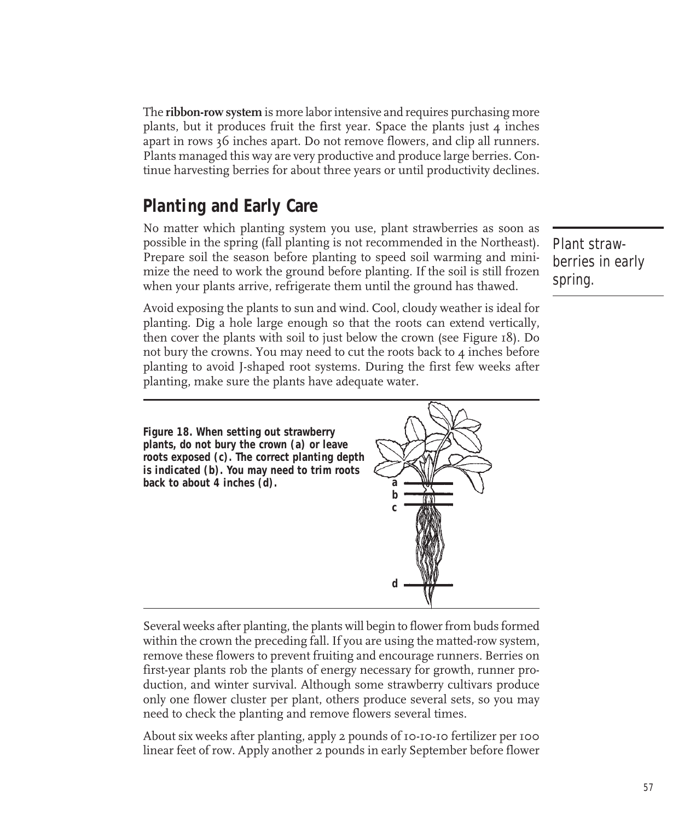The **ribbon-row system** is more labor intensive and requires purchasing more plants, but it produces fruit the first year. Space the plants just  $\mu$  inches apart in rows 36 inches apart. Do not remove flowers, and clip all runners. Plants managed this way are very productive and produce large berries. Continue harvesting berries for about three years or until productivity declines.

# **Planting and Early Care**

No matter which planting system you use, plant strawberries as soon as possible in the spring (fall planting is not recommended in the Northeast). Prepare soil the season before planting to speed soil warming and minimize the need to work the ground before planting. If the soil is still frozen when your plants arrive, refrigerate them until the ground has thawed.

Avoid exposing the plants to sun and wind. Cool, cloudy weather is ideal for planting. Dig a hole large enough so that the roots can extend vertically, then cover the plants with soil to just below the crown (see Figure 18). Do not bury the crowns. You may need to cut the roots back to 4 inches before planting to avoid J-shaped root systems. During the first few weeks after planting, make sure the plants have adequate water.



Several weeks after planting, the plants will begin to flower from buds formed within the crown the preceding fall. If you are using the matted-row system, remove these flowers to prevent fruiting and encourage runners. Berries on first-year plants rob the plants of energy necessary for growth, runner production, and winter survival. Although some strawberry cultivars produce only one flower cluster per plant, others produce several sets, so you may need to check the planting and remove flowers several times.

About six weeks after planting, apply 2 pounds of 10-10-10 fertilizer per 100 linear feet of row. Apply another 2 pounds in early September before flower Plant strawberries in early spring.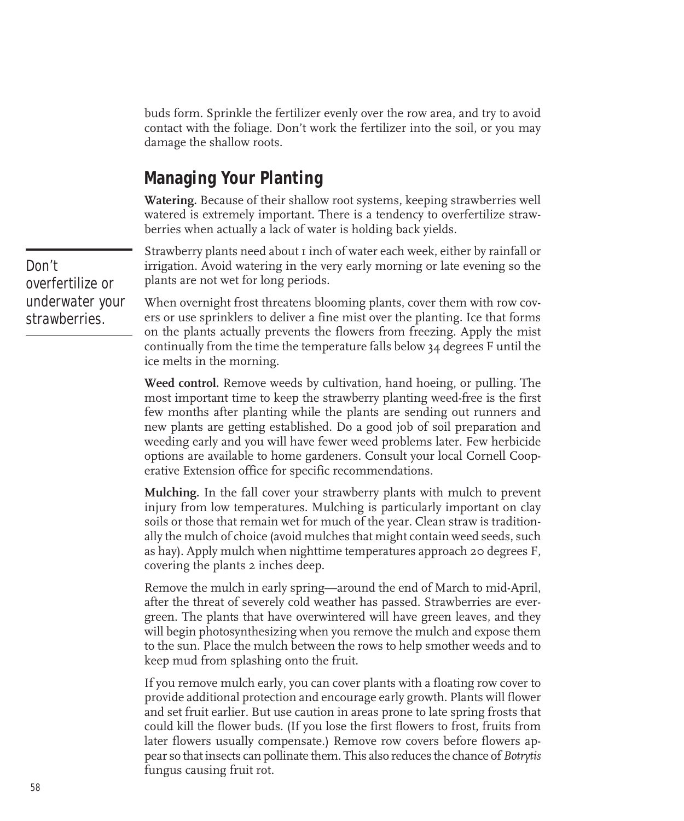buds form. Sprinkle the fertilizer evenly over the row area, and try to avoid contact with the foliage. Don't work the fertilizer into the soil, or you may damage the shallow roots.

### **Managing Your Planting**

**Watering.** Because of their shallow root systems, keeping strawberries well watered is extremely important. There is a tendency to overfertilize strawberries when actually a lack of water is holding back yields.

Strawberry plants need about I inch of water each week, either by rainfall or irrigation. Avoid watering in the very early morning or late evening so the plants are not wet for long periods.

When overnight frost threatens blooming plants, cover them with row covers or use sprinklers to deliver a fine mist over the planting. Ice that forms on the plants actually prevents the flowers from freezing. Apply the mist continually from the time the temperature falls below  $34$  degrees F until the ice melts in the morning.

**Weed control.** Remove weeds by cultivation, hand hoeing, or pulling. The most important time to keep the strawberry planting weed-free is the first few months after planting while the plants are sending out runners and new plants are getting established. Do a good job of soil preparation and weeding early and you will have fewer weed problems later. Few herbicide options are available to home gardeners. Consult your local Cornell Cooperative Extension office for specific recommendations.

**Mulching.** In the fall cover your strawberry plants with mulch to prevent injury from low temperatures. Mulching is particularly important on clay soils or those that remain wet for much of the year. Clean straw is traditionally the mulch of choice (avoid mulches that might contain weed seeds, such as hay). Apply mulch when nighttime temperatures approach 20 degrees F, covering the plants 2 inches deep.

Remove the mulch in early spring—around the end of March to mid-April, after the threat of severely cold weather has passed. Strawberries are evergreen. The plants that have overwintered will have green leaves, and they will begin photosynthesizing when you remove the mulch and expose them to the sun. Place the mulch between the rows to help smother weeds and to keep mud from splashing onto the fruit.

If you remove mulch early, you can cover plants with a floating row cover to provide additional protection and encourage early growth. Plants will flower and set fruit earlier. But use caution in areas prone to late spring frosts that could kill the flower buds. (If you lose the first flowers to frost, fruits from later flowers usually compensate.) Remove row covers before flowers appear so that insects can pollinate them. This also reduces the chance of *Botrytis* fungus causing fruit rot.

Don't overfertilize or underwater your strawberries.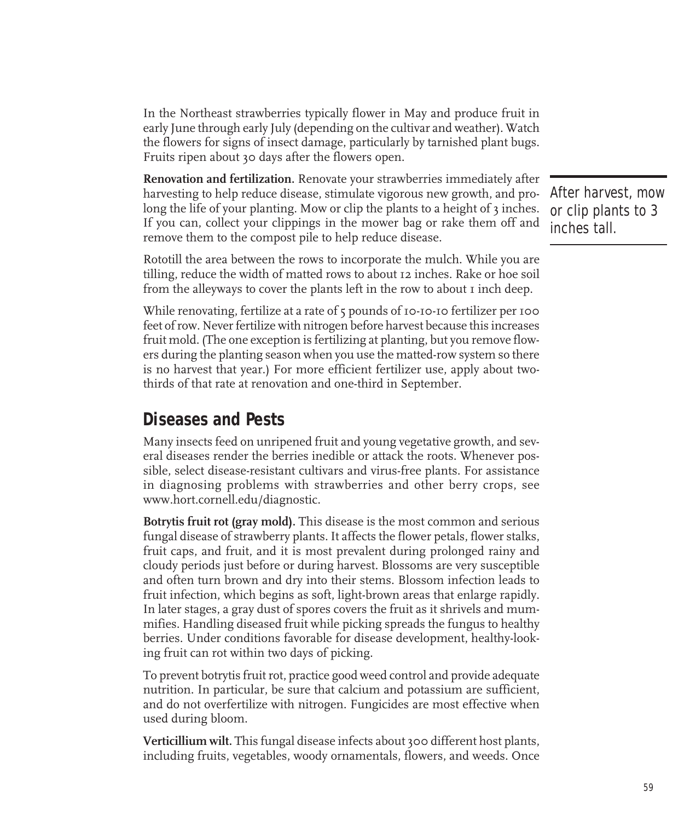In the Northeast strawberries typically flower in May and produce fruit in early June through early July (depending on the cultivar and weather). Watch the flowers for signs of insect damage, particularly by tarnished plant bugs. Fruits ripen about 30 days after the flowers open.

**Renovation and fertilization.** Renovate your strawberries immediately after harvesting to help reduce disease, stimulate vigorous new growth, and prolong the life of your planting. Mow or clip the plants to a height of 3 inches. If you can, collect your clippings in the mower bag or rake them off and remove them to the compost pile to help reduce disease.

Rototill the area between the rows to incorporate the mulch. While you are tilling, reduce the width of matted rows to about 12 inches. Rake or hoe soil from the alleyways to cover the plants left in the row to about 1 inch deep.

While renovating, fertilize at a rate of 5 pounds of 10-10-10 fertilizer per 100 feet of row. Never fertilize with nitrogen before harvest because this increases fruit mold. (The one exception is fertilizing at planting, but you remove flowers during the planting season when you use the matted-row system so there is no harvest that year.) For more efficient fertilizer use, apply about twothirds of that rate at renovation and one-third in September.

# **Diseases and Pests**

Many insects feed on unripened fruit and young vegetative growth, and several diseases render the berries inedible or attack the roots. Whenever possible, select disease-resistant cultivars and virus-free plants. For assistance in diagnosing problems with strawberries and other berry crops, see www.hort.cornell.edu/diagnostic.

**Botrytis fruit rot (gray mold).** This disease is the most common and serious fungal disease of strawberry plants. It affects the flower petals, flower stalks, fruit caps, and fruit, and it is most prevalent during prolonged rainy and cloudy periods just before or during harvest. Blossoms are very susceptible and often turn brown and dry into their stems. Blossom infection leads to fruit infection, which begins as soft, light-brown areas that enlarge rapidly. In later stages, a gray dust of spores covers the fruit as it shrivels and mummifies. Handling diseased fruit while picking spreads the fungus to healthy berries. Under conditions favorable for disease development, healthy-looking fruit can rot within two days of picking.

To prevent botrytis fruit rot, practice good weed control and provide adequate nutrition. In particular, be sure that calcium and potassium are sufficient, and do not overfertilize with nitrogen. Fungicides are most effective when used during bloom.

**Verticillium wilt.** This fungal disease infects about 300 different host plants, including fruits, vegetables, woody ornamentals, flowers, and weeds. Once

After harvest, mow or clip plants to 3 inches tall.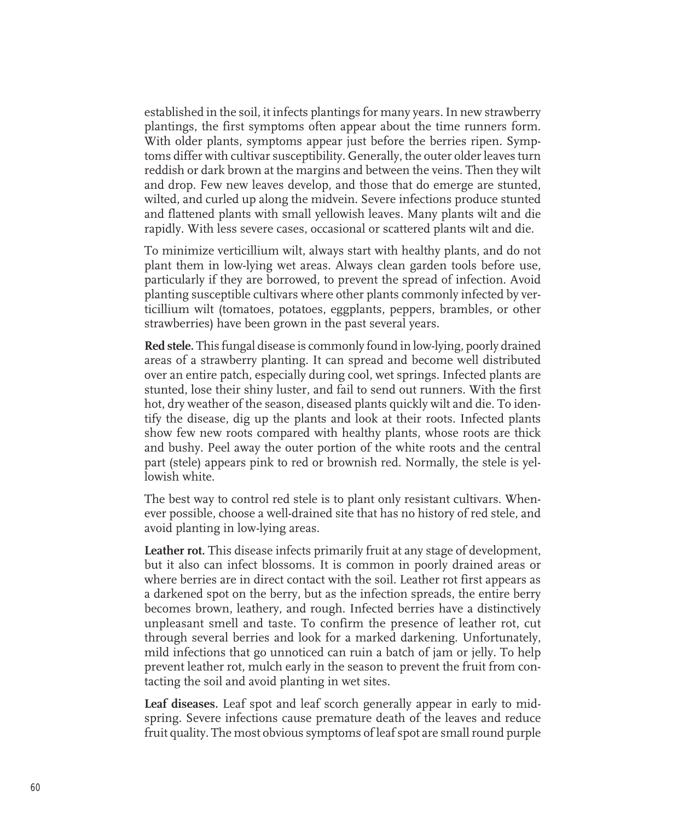established in the soil, it infects plantings for many years. In new strawberry plantings, the first symptoms often appear about the time runners form. With older plants, symptoms appear just before the berries ripen. Symptoms differ with cultivar susceptibility. Generally, the outer older leaves turn reddish or dark brown at the margins and between the veins. Then they wilt and drop. Few new leaves develop, and those that do emerge are stunted, wilted, and curled up along the midvein. Severe infections produce stunted and flattened plants with small yellowish leaves. Many plants wilt and die rapidly. With less severe cases, occasional or scattered plants wilt and die.

To minimize verticillium wilt, always start with healthy plants, and do not plant them in low-lying wet areas. Always clean garden tools before use, particularly if they are borrowed, to prevent the spread of infection. Avoid planting susceptible cultivars where other plants commonly infected by verticillium wilt (tomatoes, potatoes, eggplants, peppers, brambles, or other strawberries) have been grown in the past several years.

**Red stele.** This fungal disease is commonly found in low-lying, poorly drained areas of a strawberry planting. It can spread and become well distributed over an entire patch, especially during cool, wet springs. Infected plants are stunted, lose their shiny luster, and fail to send out runners. With the first hot, dry weather of the season, diseased plants quickly wilt and die. To identify the disease, dig up the plants and look at their roots. Infected plants show few new roots compared with healthy plants, whose roots are thick and bushy. Peel away the outer portion of the white roots and the central part (stele) appears pink to red or brownish red. Normally, the stele is yellowish white.

The best way to control red stele is to plant only resistant cultivars. Whenever possible, choose a well-drained site that has no history of red stele, and avoid planting in low-lying areas.

**Leather rot.** This disease infects primarily fruit at any stage of development, but it also can infect blossoms. It is common in poorly drained areas or where berries are in direct contact with the soil. Leather rot first appears as a darkened spot on the berry, but as the infection spreads, the entire berry becomes brown, leathery, and rough. Infected berries have a distinctively unpleasant smell and taste. To confirm the presence of leather rot, cut through several berries and look for a marked darkening. Unfortunately, mild infections that go unnoticed can ruin a batch of jam or jelly. To help prevent leather rot, mulch early in the season to prevent the fruit from contacting the soil and avoid planting in wet sites.

**Leaf diseases.** Leaf spot and leaf scorch generally appear in early to midspring. Severe infections cause premature death of the leaves and reduce fruit quality. The most obvious symptoms of leaf spot are small round purple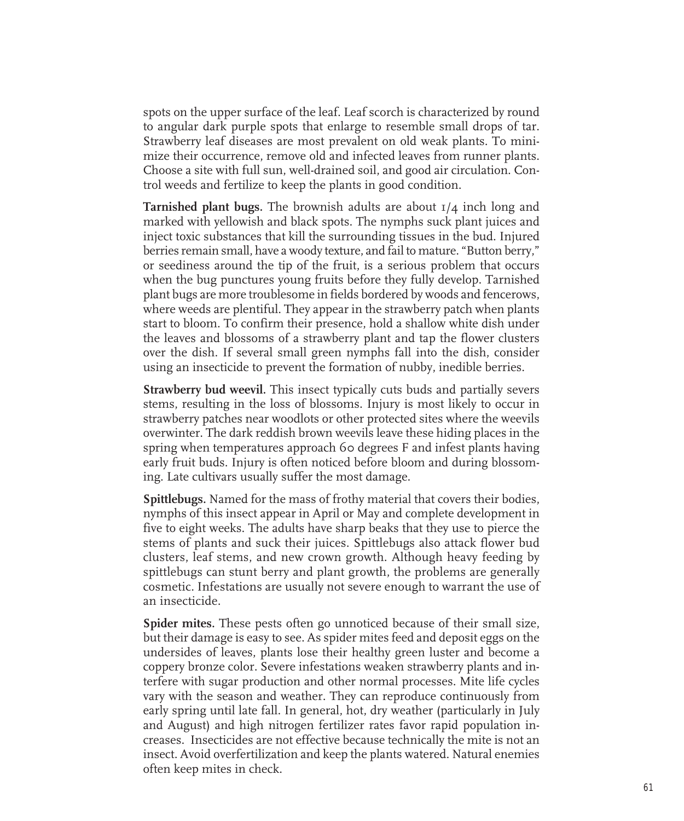spots on the upper surface of the leaf. Leaf scorch is characterized by round to angular dark purple spots that enlarge to resemble small drops of tar. Strawberry leaf diseases are most prevalent on old weak plants. To minimize their occurrence, remove old and infected leaves from runner plants. Choose a site with full sun, well-drained soil, and good air circulation. Control weeds and fertilize to keep the plants in good condition.

**Tarnished plant bugs.** The brownish adults are about 1/4 inch long and marked with yellowish and black spots. The nymphs suck plant juices and inject toxic substances that kill the surrounding tissues in the bud. Injured berries remain small, have a woody texture, and fail to mature. "Button berry," or seediness around the tip of the fruit, is a serious problem that occurs when the bug punctures young fruits before they fully develop. Tarnished plant bugs are more troublesome in fields bordered by woods and fencerows, where weeds are plentiful. They appear in the strawberry patch when plants start to bloom. To confirm their presence, hold a shallow white dish under the leaves and blossoms of a strawberry plant and tap the flower clusters over the dish. If several small green nymphs fall into the dish, consider using an insecticide to prevent the formation of nubby, inedible berries.

**Strawberry bud weevil.** This insect typically cuts buds and partially severs stems, resulting in the loss of blossoms. Injury is most likely to occur in strawberry patches near woodlots or other protected sites where the weevils overwinter. The dark reddish brown weevils leave these hiding places in the spring when temperatures approach 60 degrees F and infest plants having early fruit buds. Injury is often noticed before bloom and during blossoming. Late cultivars usually suffer the most damage.

**Spittlebugs.** Named for the mass of frothy material that covers their bodies, nymphs of this insect appear in April or May and complete development in five to eight weeks. The adults have sharp beaks that they use to pierce the stems of plants and suck their juices. Spittlebugs also attack flower bud clusters, leaf stems, and new crown growth. Although heavy feeding by spittlebugs can stunt berry and plant growth, the problems are generally cosmetic. Infestations are usually not severe enough to warrant the use of an insecticide.

**Spider mites.** These pests often go unnoticed because of their small size, but their damage is easy to see. As spider mites feed and deposit eggs on the undersides of leaves, plants lose their healthy green luster and become a coppery bronze color. Severe infestations weaken strawberry plants and interfere with sugar production and other normal processes. Mite life cycles vary with the season and weather. They can reproduce continuously from early spring until late fall. In general, hot, dry weather (particularly in July and August) and high nitrogen fertilizer rates favor rapid population increases. Insecticides are not effective because technically the mite is not an insect. Avoid overfertilization and keep the plants watered. Natural enemies often keep mites in check.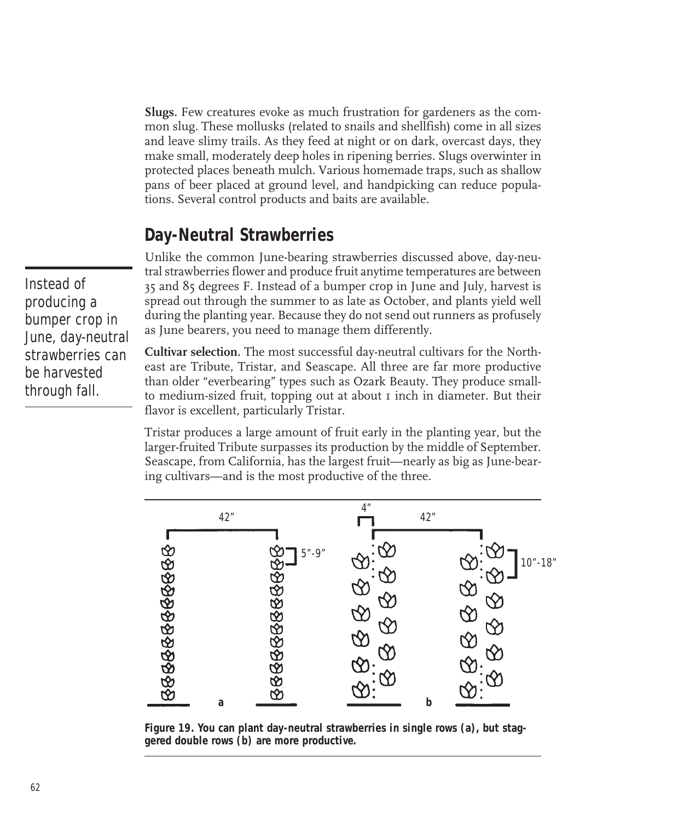**Slugs.** Few creatures evoke as much frustration for gardeners as the common slug. These mollusks (related to snails and shellfish) come in all sizes and leave slimy trails. As they feed at night or on dark, overcast days, they make small, moderately deep holes in ripening berries. Slugs overwinter in protected places beneath mulch. Various homemade traps, such as shallow pans of beer placed at ground level, and handpicking can reduce populations. Several control products and baits are available.

## **Day-Neutral Strawberries**

Unlike the common June-bearing strawberries discussed above, day-neutral strawberries flower and produce fruit anytime temperatures are between 35 and 85 degrees F. Instead of a bumper crop in June and July, harvest is spread out through the summer to as late as October, and plants yield well during the planting year. Because they do not send out runners as profusely as June bearers, you need to manage them differently.

**Cultivar selection.** The most successful day-neutral cultivars for the Northeast are Tribute, Tristar, and Seascape. All three are far more productive than older "everbearing" types such as Ozark Beauty. They produce smallto medium-sized fruit, topping out at about 1 inch in diameter. But their flavor is excellent, particularly Tristar.

Tristar produces a large amount of fruit early in the planting year, but the larger-fruited Tribute surpasses its production by the middle of September. Seascape, from California, has the largest fruit—nearly as big as June-bearing cultivars—and is the most productive of the three.

|                      | 42" |                       | 4 <sup>n</sup> | 42" |           |
|----------------------|-----|-----------------------|----------------|-----|-----------|
| <b>୫୫୫୫୫୫୫୫୫୫୫</b> ୫ | a   | $5 - 9$<br>୫୫୫୫୫୫୫୫୫୫ |                | b   | $10 - 18$ |

**Figure 19. You can plant day-neutral strawberries in single rows (a), but staggered double rows (b) are more productive.**

Instead of producing a bumper crop in June, day-neutral strawberries can be harvested through fall.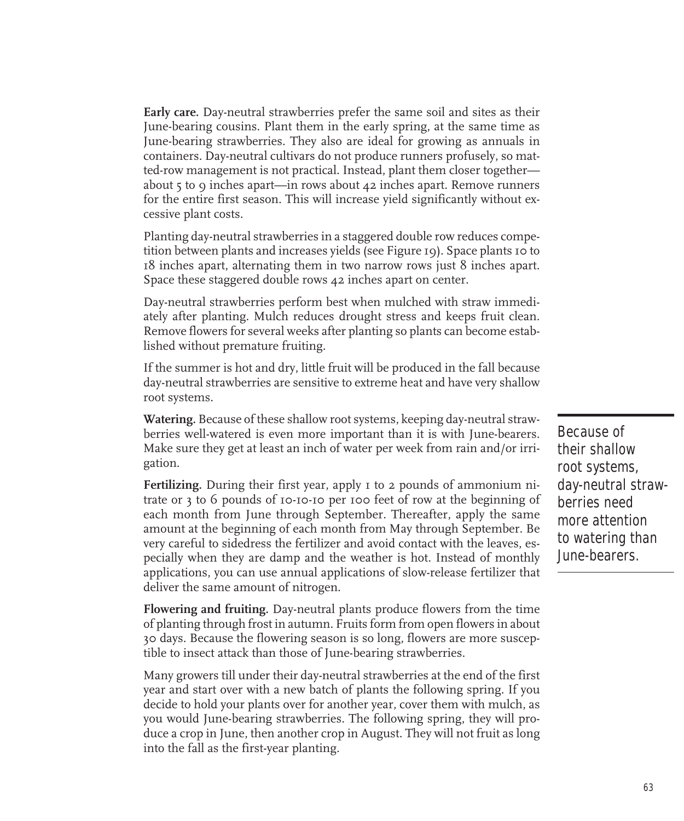**Early care.** Day-neutral strawberries prefer the same soil and sites as their June-bearing cousins. Plant them in the early spring, at the same time as June-bearing strawberries. They also are ideal for growing as annuals in containers. Day-neutral cultivars do not produce runners profusely, so matted-row management is not practical. Instead, plant them closer together about  $\zeta$  to  $\zeta$  inches apart—in rows about 42 inches apart. Remove runners for the entire first season. This will increase yield significantly without excessive plant costs.

Planting day-neutral strawberries in a staggered double row reduces competition between plants and increases yields (see Figure 19). Space plants 10 to 18 inches apart, alternating them in two narrow rows just 8 inches apart. Space these staggered double rows 42 inches apart on center.

Day-neutral strawberries perform best when mulched with straw immediately after planting. Mulch reduces drought stress and keeps fruit clean. Remove flowers for several weeks after planting so plants can become established without premature fruiting.

If the summer is hot and dry, little fruit will be produced in the fall because day-neutral strawberries are sensitive to extreme heat and have very shallow root systems.

**Watering.** Because of these shallow root systems, keeping day-neutral strawberries well-watered is even more important than it is with June-bearers. Make sure they get at least an inch of water per week from rain and/or irrigation.

**Fertilizing.** During their first year, apply 1 to 2 pounds of ammonium nitrate or 3 to 6 pounds of 10-10-10 per 100 feet of row at the beginning of each month from June through September. Thereafter, apply the same amount at the beginning of each month from May through September. Be very careful to sidedress the fertilizer and avoid contact with the leaves, especially when they are damp and the weather is hot. Instead of monthly applications, you can use annual applications of slow-release fertilizer that deliver the same amount of nitrogen.

**Flowering and fruiting.** Day-neutral plants produce flowers from the time of planting through frost in autumn. Fruits form from open flowers in about 30 days. Because the flowering season is so long, flowers are more susceptible to insect attack than those of June-bearing strawberries.

Many growers till under their day-neutral strawberries at the end of the first year and start over with a new batch of plants the following spring. If you decide to hold your plants over for another year, cover them with mulch, as you would June-bearing strawberries. The following spring, they will produce a crop in June, then another crop in August. They will not fruit as long into the fall as the first-year planting.

Because of their shallow root systems, day-neutral strawberries need more attention to watering than June-bearers.